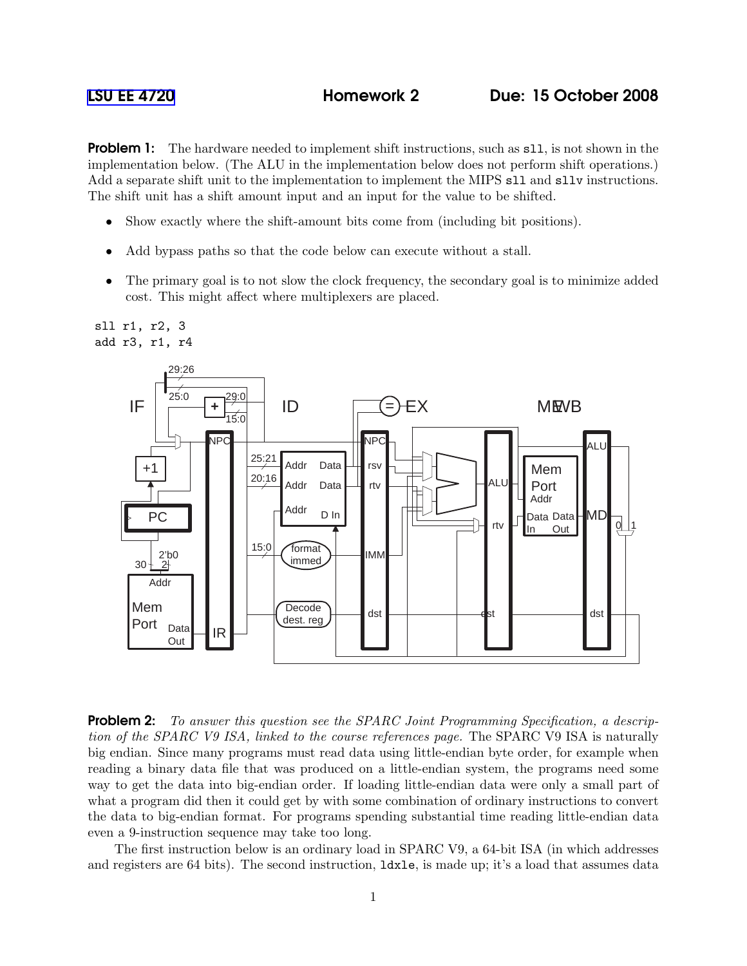**Problem 1:** The hardware needed to implement shift instructions, such as s11, is not shown in the implementation below. (The ALU in the implementation below does not perform shift operations.) Add a separate shift unit to the implementation to implement the MIPS sll and sllv instructions. The shift unit has a shift amount input and an input for the value to be shifted.

- Show exactly where the shift-amount bits come from (including bit positions).
- Add bypass paths so that the code below can execute without a stall.
- The primary goal is to not slow the clock frequency, the secondary goal is to minimize added cost. This might affect where multiplexers are placed.



**Problem 2:** To answer this question see the SPARC Joint Programming Specification, a description of the SPARC V9 ISA, linked to the course references page. The SPARC V9 ISA is naturally big endian. Since many programs must read data using little-endian byte order, for example when reading a binary data file that was produced on a little-endian system, the programs need some way to get the data into big-endian order. If loading little-endian data were only a small part of what a program did then it could get by with some combination of ordinary instructions to convert the data to big-endian format. For programs spending substantial time reading little-endian data even a 9-instruction sequence may take too long.

The first instruction below is an ordinary load in SPARC V9, a 64-bit ISA (in which addresses and registers are 64 bits). The second instruction,  $ldxle$ , is made up; it's a load that assumes data